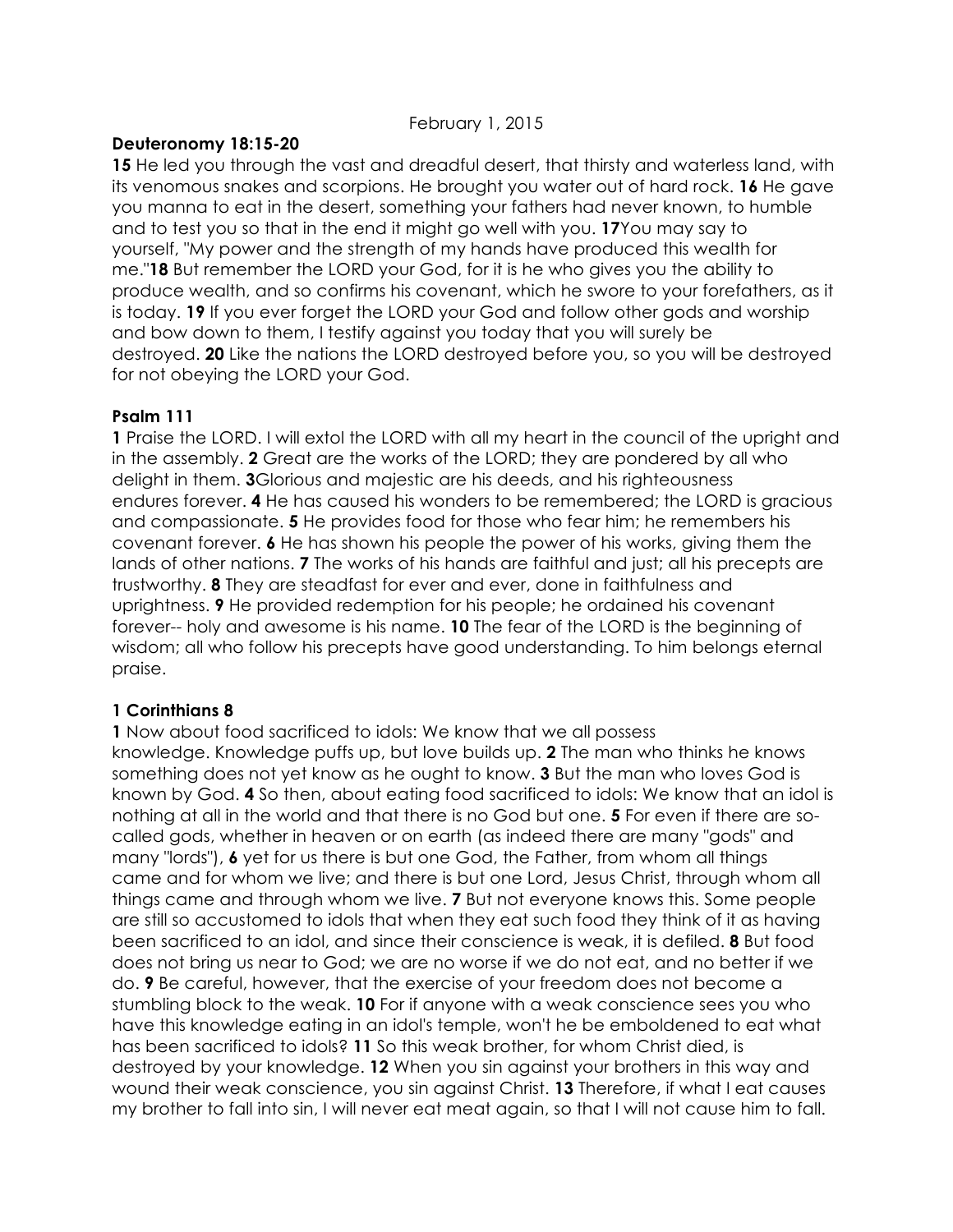# **Deuteronomy 18:15-20**

**15** He led you through the vast and dreadful desert, that thirsty and waterless land, with its venomous snakes and scorpions. He brought you water out of hard rock. **16** He gave you manna to eat in the desert, something your fathers had never known, to humble and to test you so that in the end it might go well with you. **17**You may say to yourself, "My power and the strength of my hands have produced this wealth for me."**18** But remember the LORD your God, for it is he who gives you the ability to produce wealth, and so confirms his covenant, which he swore to your forefathers, as it is today. **19** If you ever forget the LORD your God and follow other gods and worship and bow down to them, I testify against you today that you will surely be destroyed. **20** Like the nations the LORD destroyed before you, so you will be destroyed for not obeying the LORD your God.

#### **Psalm 111**

**1** Praise the LORD. I will extol the LORD with all my heart in the council of the upright and in the assembly. **2** Great are the works of the LORD; they are pondered by all who delight in them. **3**Glorious and majestic are his deeds, and his righteousness endures forever. **4** He has caused his wonders to be remembered; the LORD is gracious and compassionate. **5** He provides food for those who fear him; he remembers his covenant forever. **6** He has shown his people the power of his works, giving them the lands of other nations. **7** The works of his hands are faithful and just; all his precepts are trustworthy. **8** They are steadfast for ever and ever, done in faithfulness and uprightness. **9** He provided redemption for his people; he ordained his covenant forever-- holy and awesome is his name. **10** The fear of the LORD is the beginning of wisdom; all who follow his precepts have good understanding. To him belongs eternal praise.

# **1 Corinthians 8**

**1** Now about food sacrificed to idols: We know that we all possess knowledge. Knowledge puffs up, but love builds up. **2** The man who thinks he knows something does not yet know as he ought to know. **3** But the man who loves God is known by God. **4** So then, about eating food sacrificed to idols: We know that an idol is nothing at all in the world and that there is no God but one. **5** For even if there are socalled gods, whether in heaven or on earth (as indeed there are many "gods" and many "lords"), **6** yet for us there is but one God, the Father, from whom all things came and for whom we live; and there is but one Lord, Jesus Christ, through whom all things came and through whom we live. **7** But not everyone knows this. Some people are still so accustomed to idols that when they eat such food they think of it as having been sacrificed to an idol, and since their conscience is weak, it is defiled. **8** But food does not bring us near to God; we are no worse if we do not eat, and no better if we do. **9** Be careful, however, that the exercise of your freedom does not become a stumbling block to the weak. **10** For if anyone with a weak conscience sees you who have this knowledge eating in an idol's temple, won't he be emboldened to eat what has been sacrificed to idols? **11** So this weak brother, for whom Christ died, is destroyed by your knowledge. **12** When you sin against your brothers in this way and wound their weak conscience, you sin against Christ. **13** Therefore, if what I eat causes my brother to fall into sin, I will never eat meat again, so that I will not cause him to fall.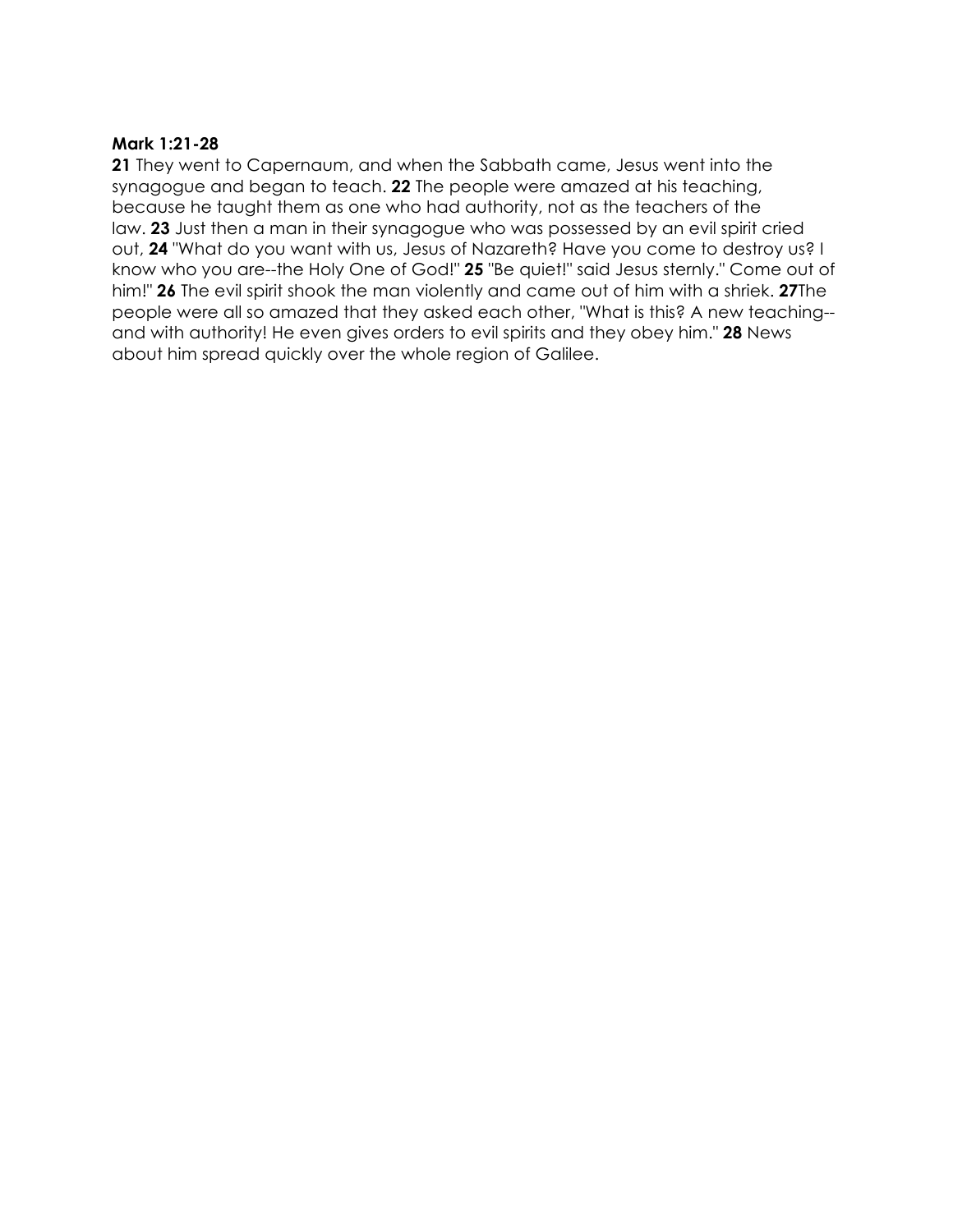# **Mark 1:21-28**

**21** They went to Capernaum, and when the Sabbath came, Jesus went into the synagogue and began to teach. **22** The people were amazed at his teaching, because he taught them as one who had authority, not as the teachers of the law. **23** Just then a man in their synagogue who was possessed by an evil spirit cried out, **24** "What do you want with us, Jesus of Nazareth? Have you come to destroy us? I know who you are--the Holy One of God!" **25** "Be quiet!" said Jesus sternly." Come out of him!" **26** The evil spirit shook the man violently and came out of him with a shriek. **27**The people were all so amazed that they asked each other, "What is this? A new teaching- and with authority! He even gives orders to evil spirits and they obey him." **28** News about him spread quickly over the whole region of Galilee.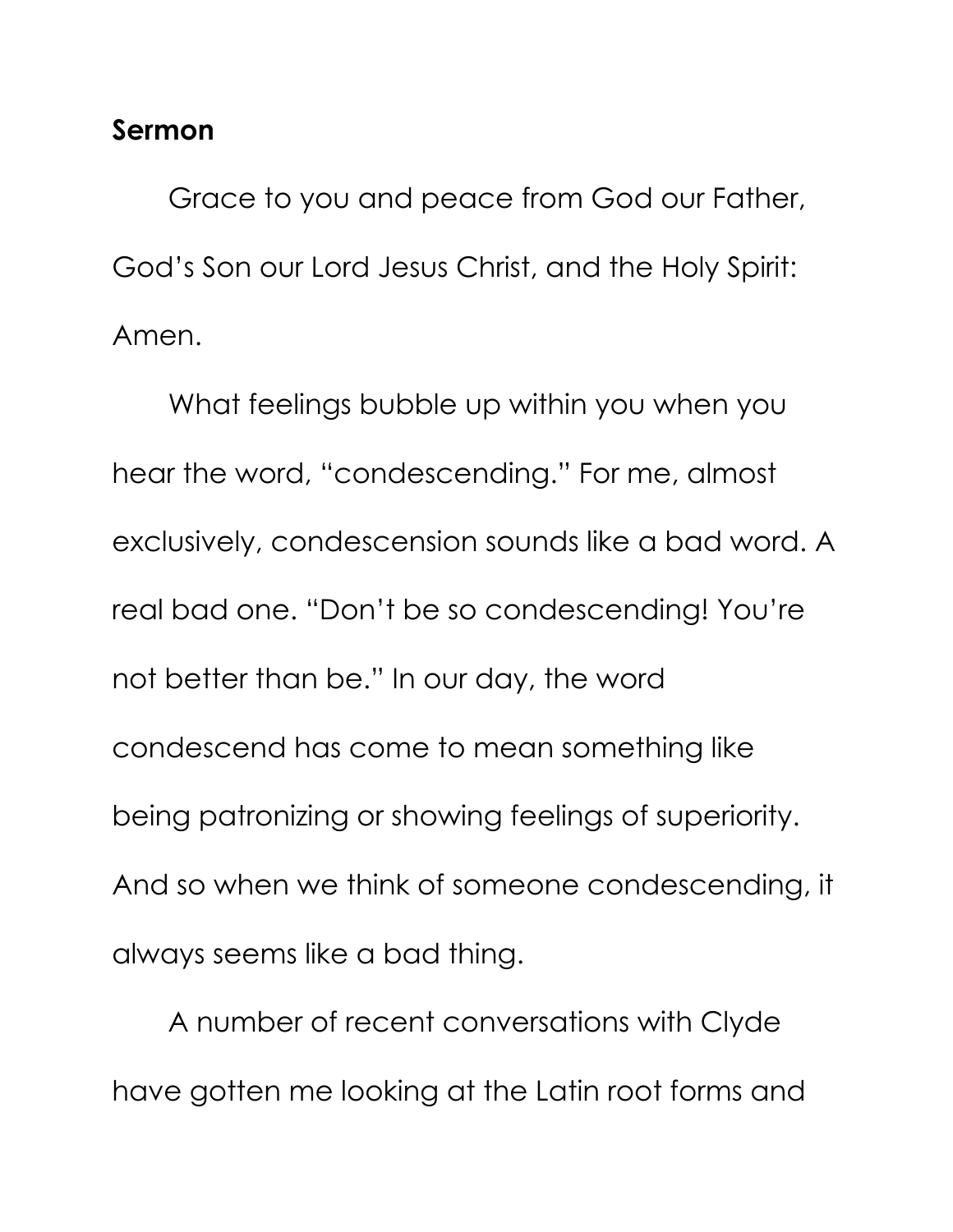# **Sermon**

Grace to you and peace from God our Father, God's Son our Lord Jesus Christ, and the Holy Spirit: Amen.

What feelings bubble up within you when you hear the word, "condescending." For me, almost exclusively, condescension sounds like a bad word. A real bad one. "Don't be so condescending! You're not better than be." In our day, the word condescend has come to mean something like being patronizing or showing feelings of superiority. And so when we think of someone condescending, it always seems like a bad thing.

A number of recent conversations with Clyde have gotten me looking at the Latin root forms and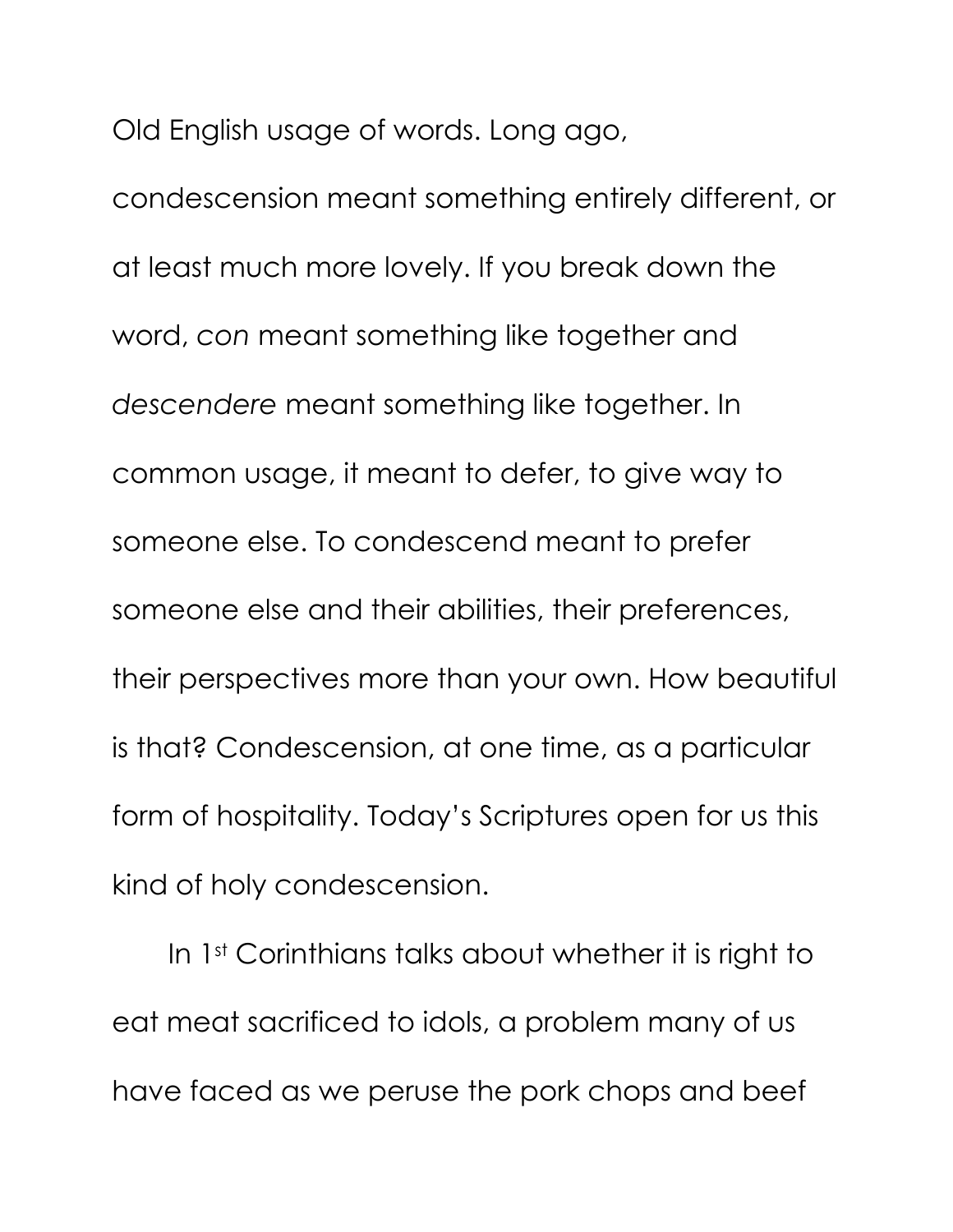Old English usage of words. Long ago,

condescension meant something entirely different, or at least much more lovely. If you break down the word, *con* meant something like together and *descendere* meant something like together. In common usage, it meant to defer, to give way to someone else. To condescend meant to prefer someone else and their abilities, their preferences, their perspectives more than your own. How beautiful is that? Condescension, at one time, as a particular form of hospitality. Today's Scriptures open for us this kind of holy condescension.

In 1st Corinthians talks about whether it is right to eat meat sacrificed to idols, a problem many of us have faced as we peruse the pork chops and beef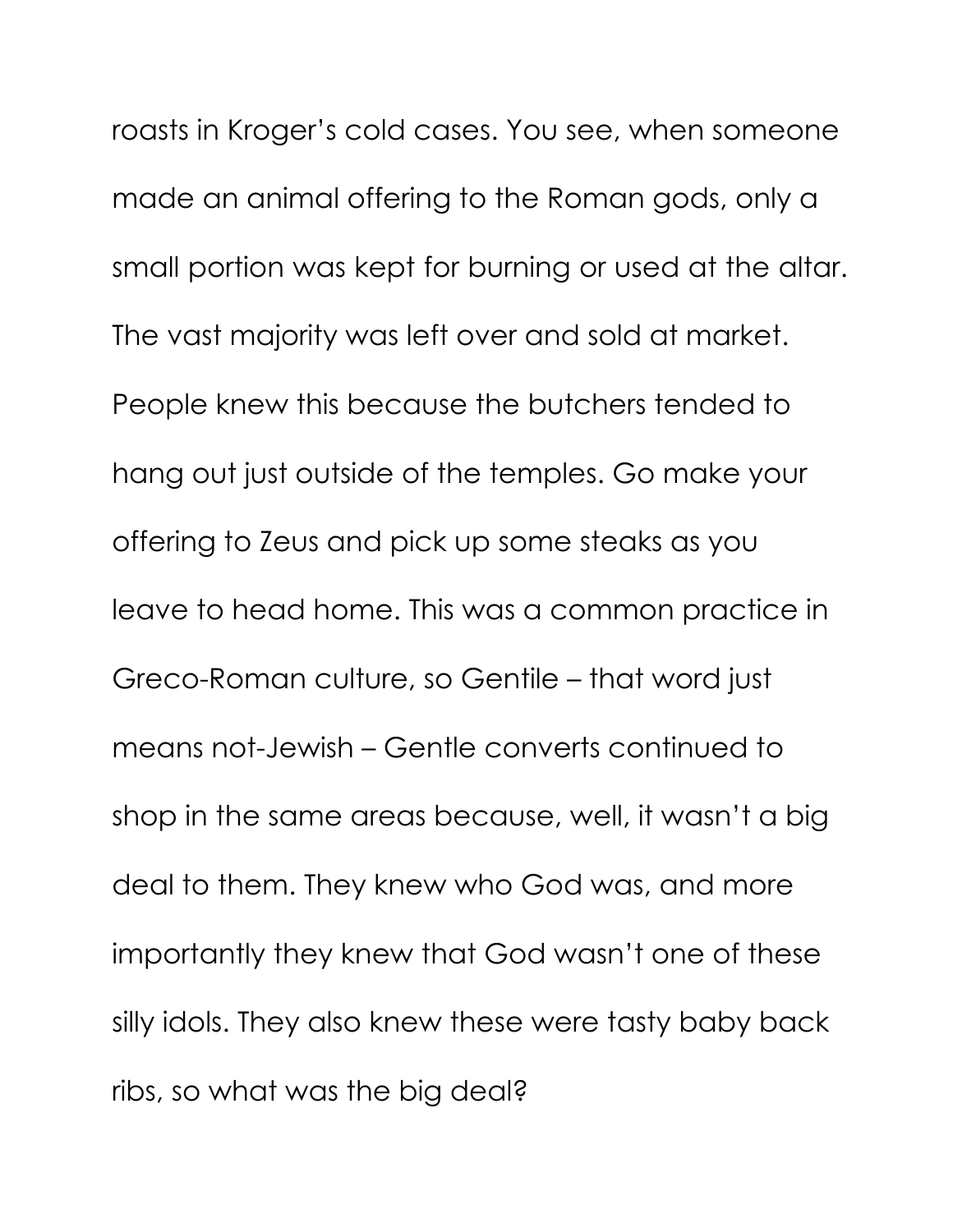roasts in Kroger's cold cases. You see, when someone made an animal offering to the Roman gods, only a small portion was kept for burning or used at the altar. The vast majority was left over and sold at market. People knew this because the butchers tended to hang out just outside of the temples. Go make your offering to Zeus and pick up some steaks as you leave to head home. This was a common practice in Greco-Roman culture, so Gentile – that word just means not-Jewish – Gentle converts continued to shop in the same areas because, well, it wasn't a big deal to them. They knew who God was, and more importantly they knew that God wasn't one of these silly idols. They also knew these were tasty baby back ribs, so what was the big deal?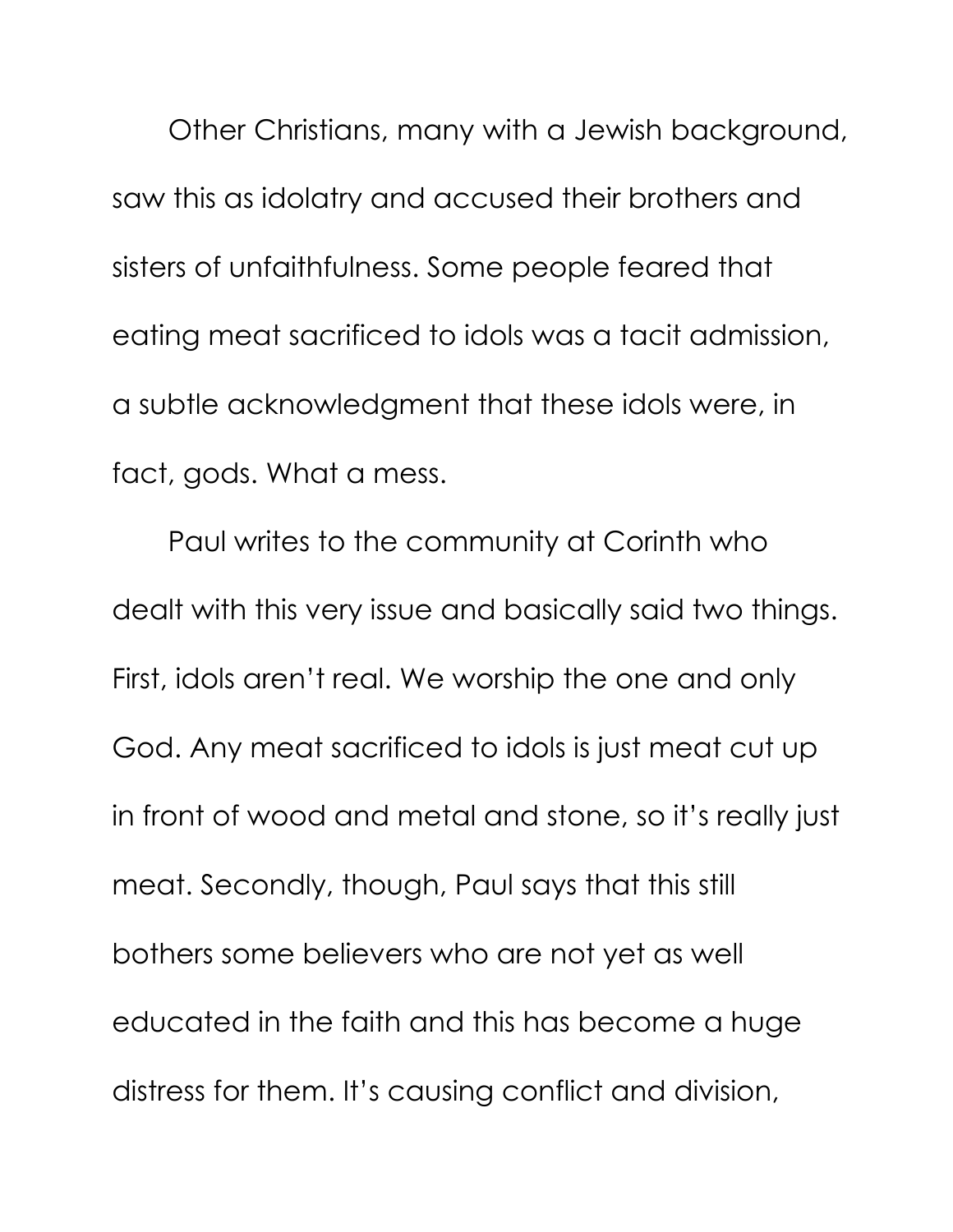Other Christians, many with a Jewish background, saw this as idolatry and accused their brothers and sisters of unfaithfulness. Some people feared that eating meat sacrificed to idols was a tacit admission, a subtle acknowledgment that these idols were, in fact, gods. What a mess.

Paul writes to the community at Corinth who dealt with this very issue and basically said two things. First, idols aren't real. We worship the one and only God. Any meat sacrificed to idols is just meat cut up in front of wood and metal and stone, so it's really just meat. Secondly, though, Paul says that this still bothers some believers who are not yet as well educated in the faith and this has become a huge distress for them. It's causing conflict and division,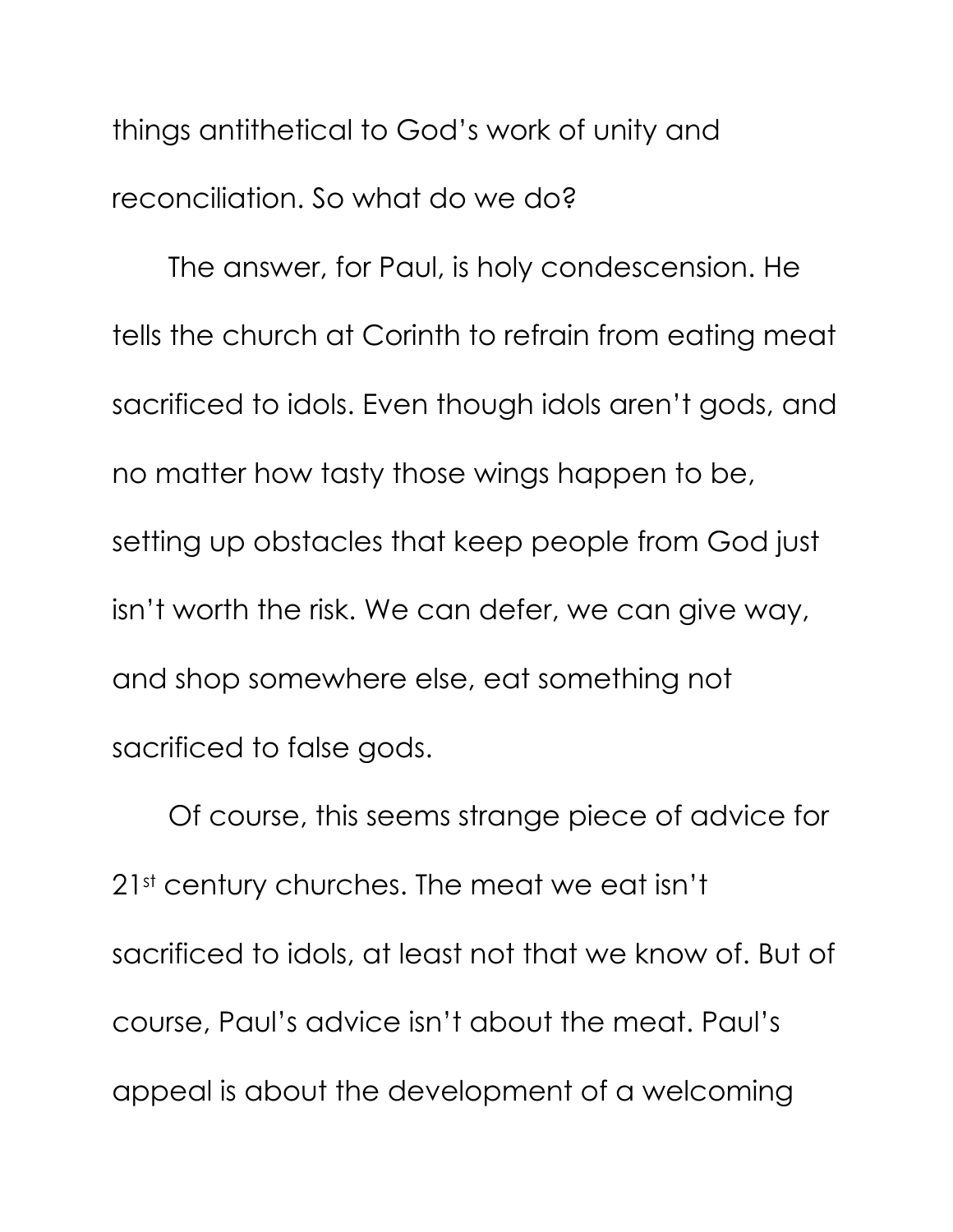things antithetical to God's work of unity and reconciliation. So what do we do?

The answer, for Paul, is holy condescension. He tells the church at Corinth to refrain from eating meat sacrificed to idols. Even though idols aren't gods, and no matter how tasty those wings happen to be, setting up obstacles that keep people from God just isn't worth the risk. We can defer, we can give way, and shop somewhere else, eat something not sacrificed to false gods.

Of course, this seems strange piece of advice for 21st century churches. The meat we eat isn't sacrificed to idols, at least not that we know of. But of course, Paul's advice isn't about the meat. Paul's appeal is about the development of a welcoming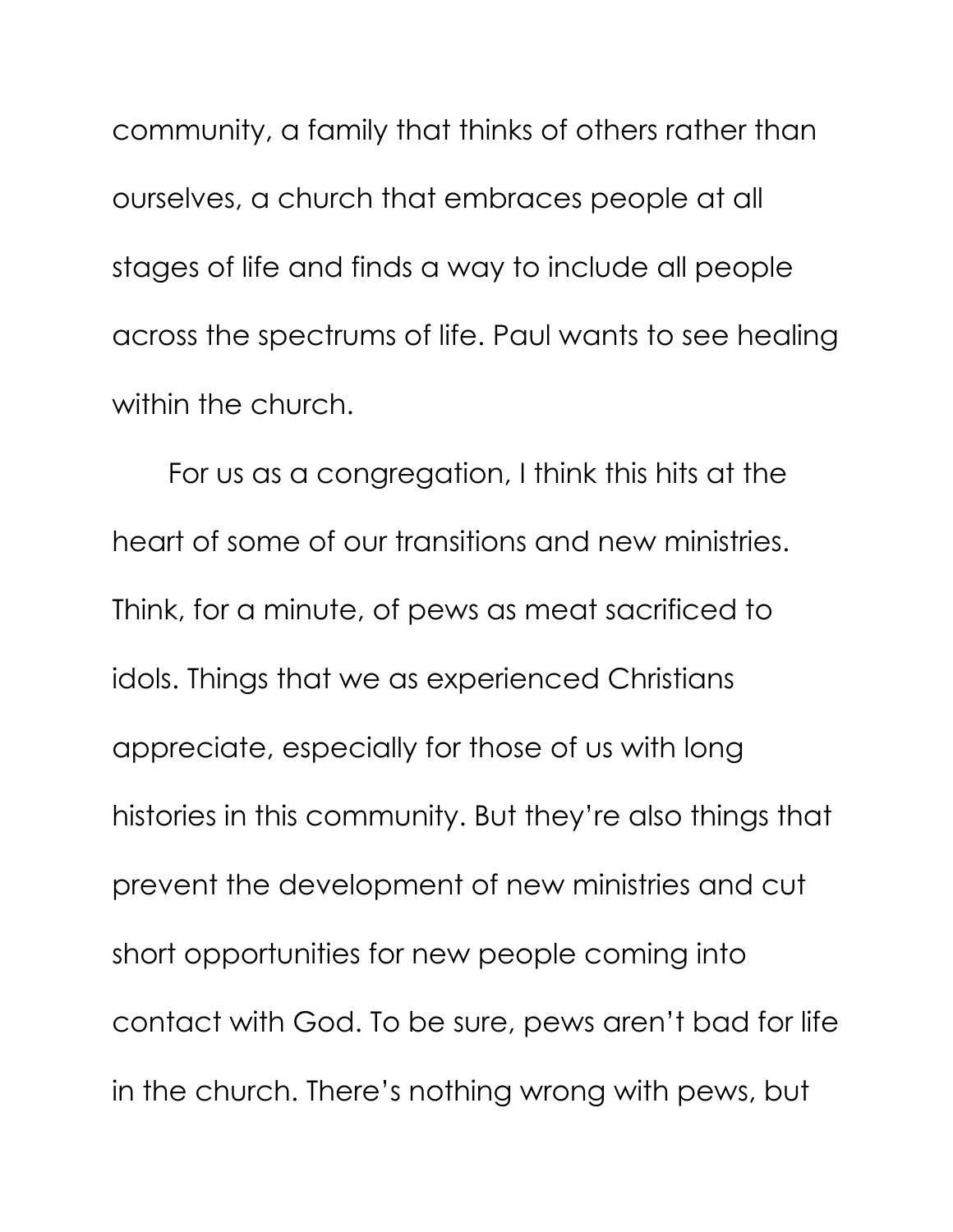community, a family that thinks of others rather than ourselves, a church that embraces people at all stages of life and finds a way to include all people across the spectrums of life. Paul wants to see healing within the church.

For us as a congregation, I think this hits at the heart of some of our transitions and new ministries. Think, for a minute, of pews as meat sacrificed to idols. Things that we as experienced Christians appreciate, especially for those of us with long histories in this community. But they're also things that prevent the development of new ministries and cut short opportunities for new people coming into contact with God. To be sure, pews aren't bad for life in the church. There's nothing wrong with pews, but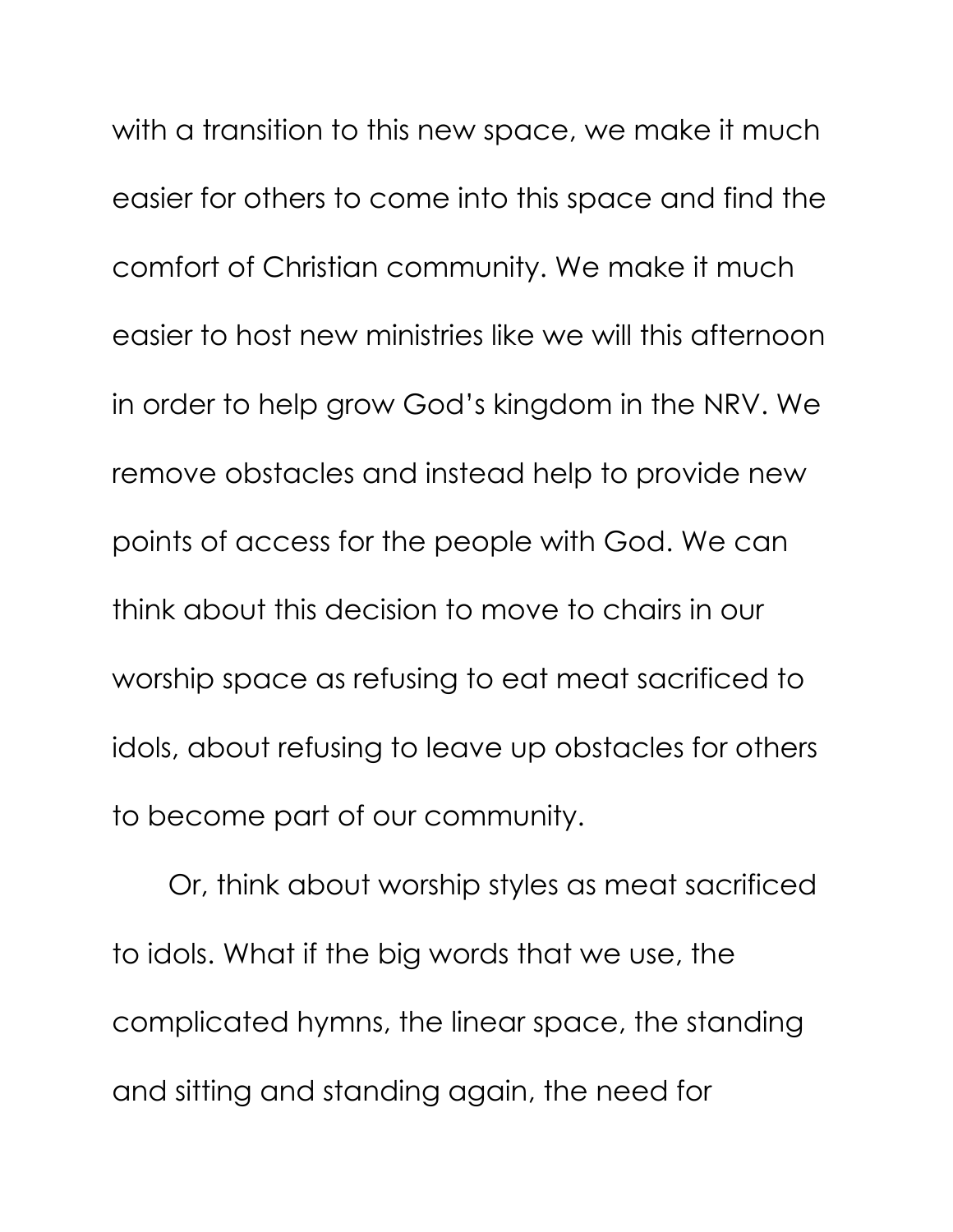with a transition to this new space, we make it much easier for others to come into this space and find the comfort of Christian community. We make it much easier to host new ministries like we will this afternoon in order to help grow God's kingdom in the NRV. We remove obstacles and instead help to provide new points of access for the people with God. We can think about this decision to move to chairs in our worship space as refusing to eat meat sacrificed to idols, about refusing to leave up obstacles for others to become part of our community.

Or, think about worship styles as meat sacrificed to idols. What if the big words that we use, the complicated hymns, the linear space, the standing and sitting and standing again, the need for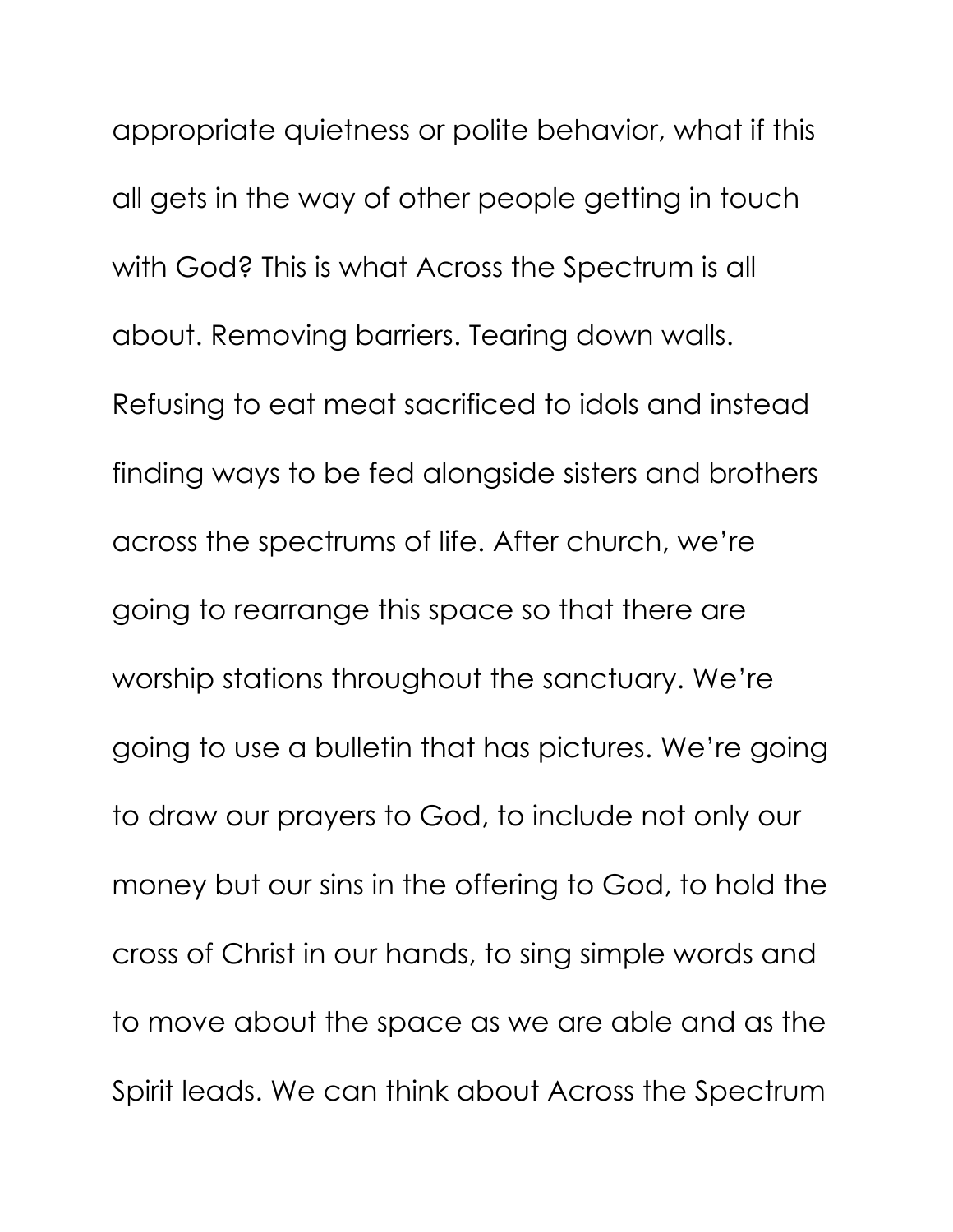appropriate quietness or polite behavior, what if this all gets in the way of other people getting in touch with God? This is what Across the Spectrum is all about. Removing barriers. Tearing down walls. Refusing to eat meat sacrificed to idols and instead finding ways to be fed alongside sisters and brothers across the spectrums of life. After church, we're going to rearrange this space so that there are worship stations throughout the sanctuary. We're going to use a bulletin that has pictures. We're going to draw our prayers to God, to include not only our money but our sins in the offering to God, to hold the cross of Christ in our hands, to sing simple words and to move about the space as we are able and as the Spirit leads. We can think about Across the Spectrum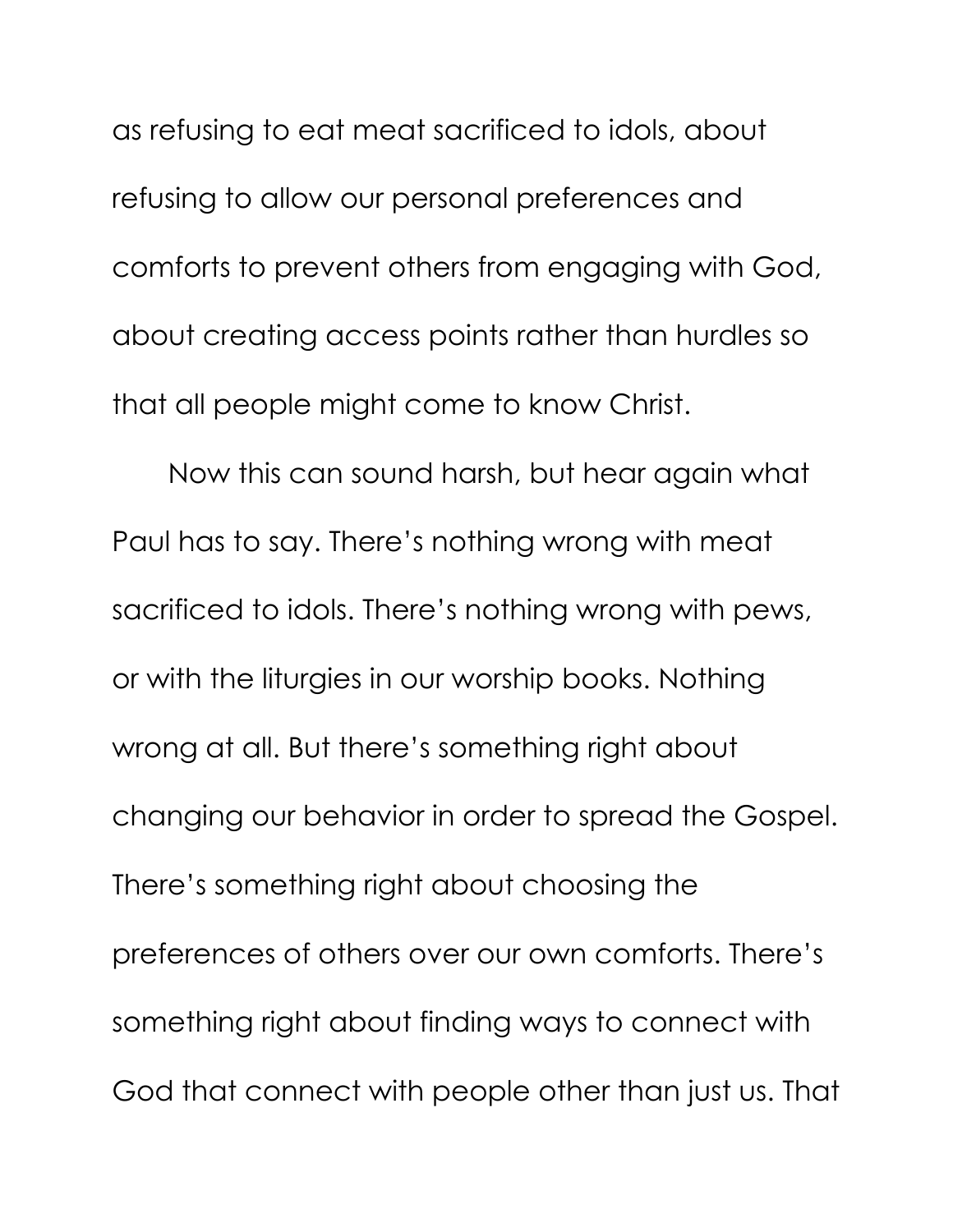as refusing to eat meat sacrificed to idols, about refusing to allow our personal preferences and comforts to prevent others from engaging with God, about creating access points rather than hurdles so that all people might come to know Christ.

Now this can sound harsh, but hear again what Paul has to say. There's nothing wrong with meat sacrificed to idols. There's nothing wrong with pews, or with the liturgies in our worship books. Nothing wrong at all. But there's something right about changing our behavior in order to spread the Gospel. There's something right about choosing the preferences of others over our own comforts. There's something right about finding ways to connect with God that connect with people other than just us. That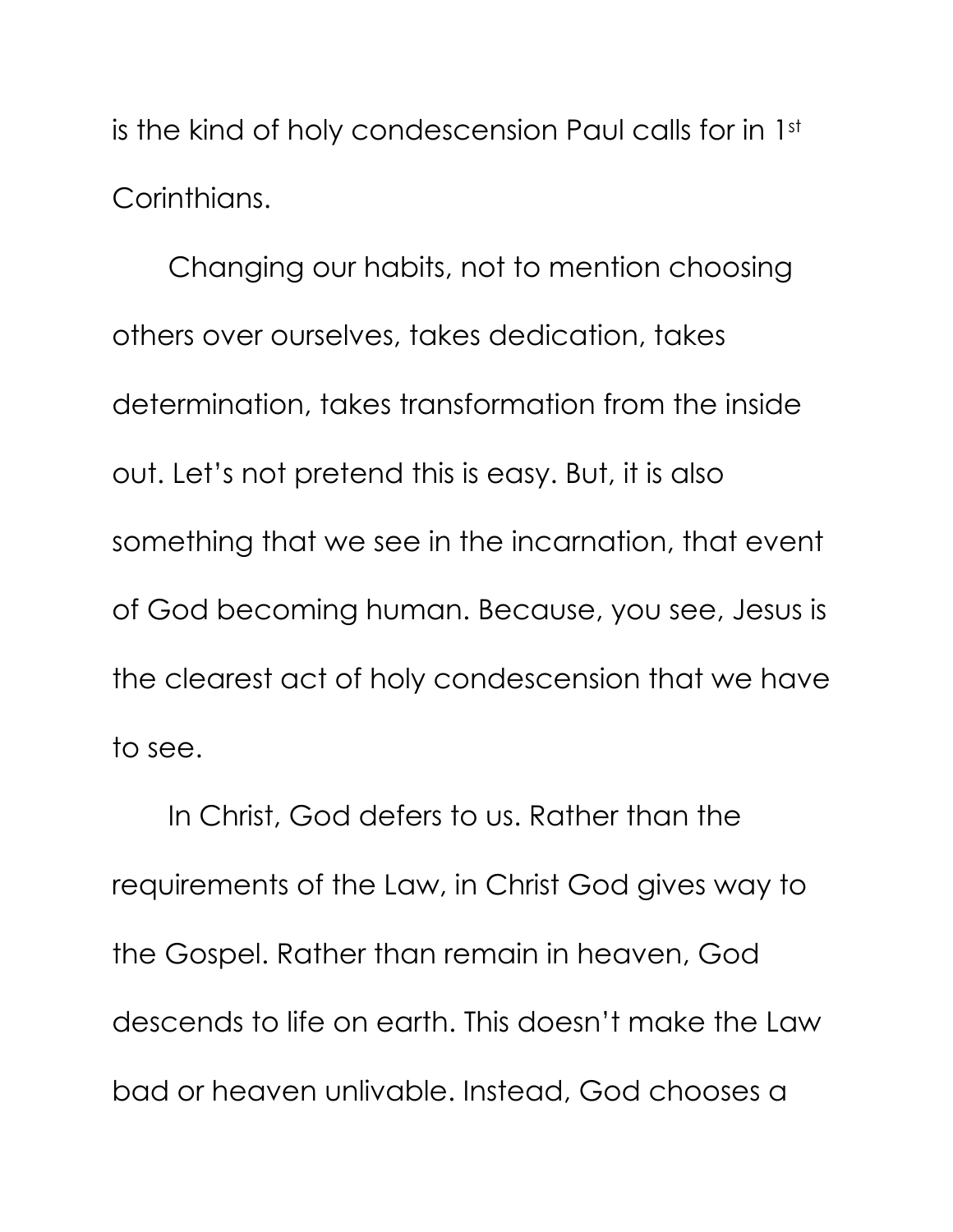is the kind of holy condescension Paul calls for in 1st Corinthians.

Changing our habits, not to mention choosing others over ourselves, takes dedication, takes determination, takes transformation from the inside out. Let's not pretend this is easy. But, it is also something that we see in the incarnation, that event of God becoming human. Because, you see, Jesus is the clearest act of holy condescension that we have to see.

In Christ, God defers to us. Rather than the requirements of the Law, in Christ God gives way to the Gospel. Rather than remain in heaven, God descends to life on earth. This doesn't make the Law bad or heaven unlivable. Instead, God chooses a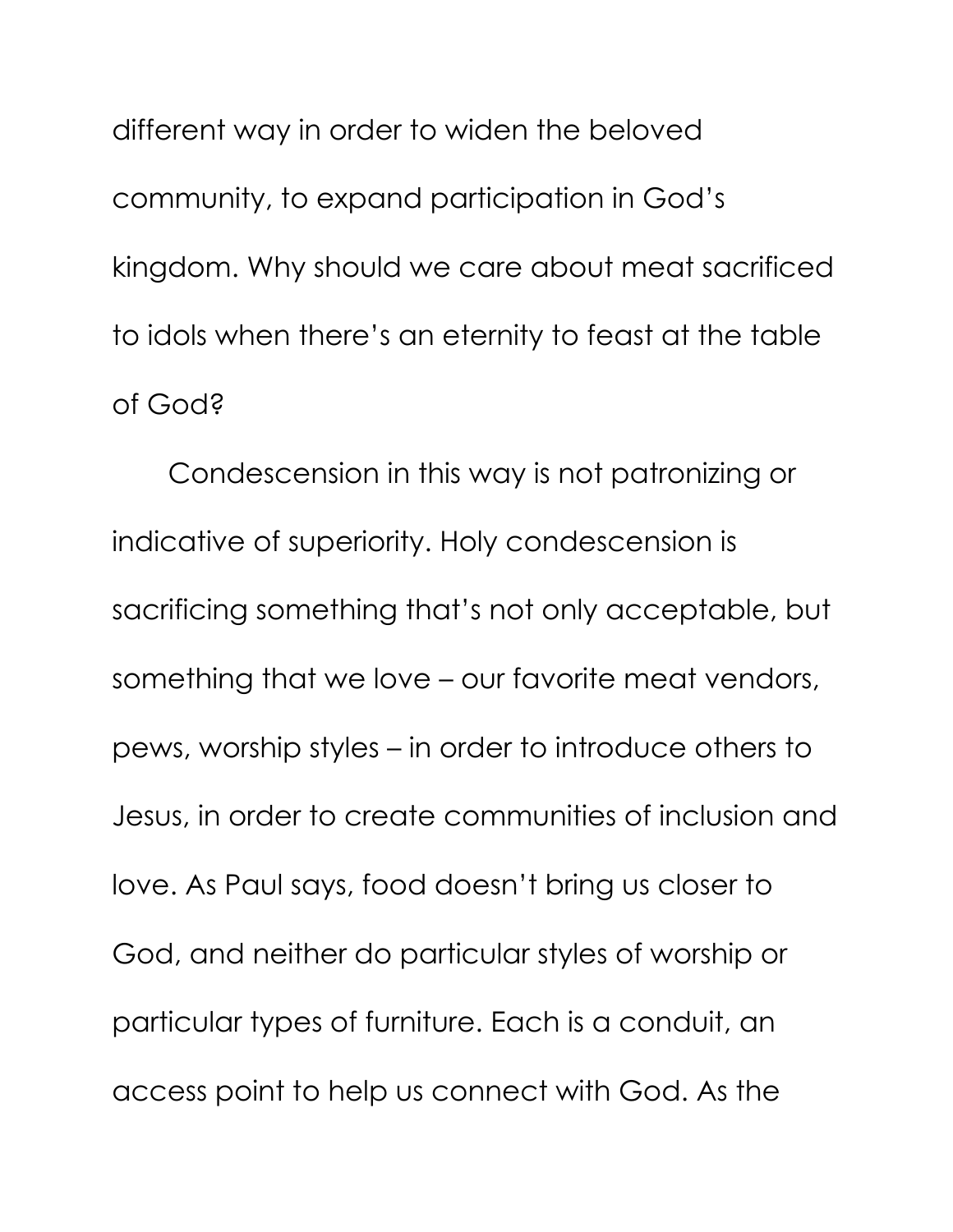different way in order to widen the beloved community, to expand participation in God's kingdom. Why should we care about meat sacrificed to idols when there's an eternity to feast at the table of God?

Condescension in this way is not patronizing or indicative of superiority. Holy condescension is sacrificing something that's not only acceptable, but something that we love – our favorite meat vendors, pews, worship styles – in order to introduce others to Jesus, in order to create communities of inclusion and love. As Paul says, food doesn't bring us closer to God, and neither do particular styles of worship or particular types of furniture. Each is a conduit, an access point to help us connect with God. As the